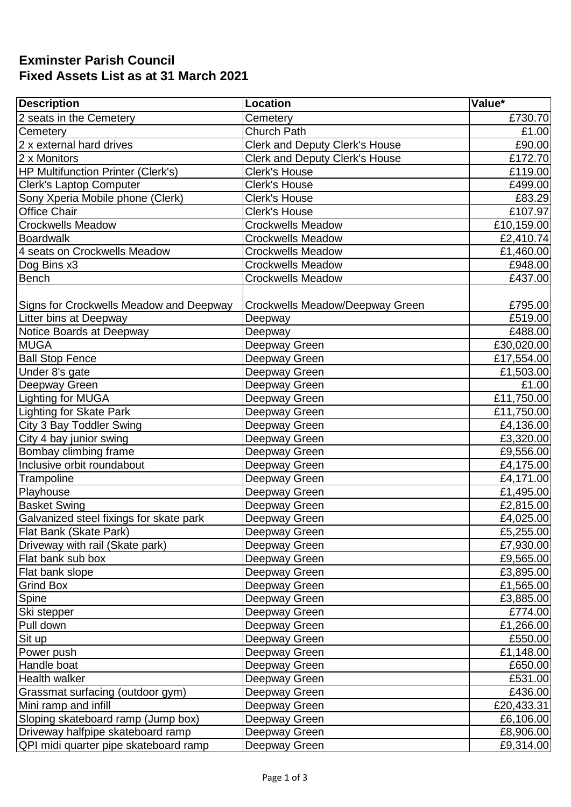## **Exminster Parish Council Fixed Assets List as at 31 March 2021**

| <b>Description</b>                        | Location                              | Value*     |
|-------------------------------------------|---------------------------------------|------------|
| 2 seats in the Cemetery                   | Cemetery                              | £730.70    |
| Cemetery                                  | <b>Church Path</b>                    | £1.00      |
| 2 x external hard drives                  | <b>Clerk and Deputy Clerk's House</b> | £90.00     |
| 2 x Monitors                              | <b>Clerk and Deputy Clerk's House</b> | £172.70    |
| <b>HP Multifunction Printer (Clerk's)</b> | <b>Clerk's House</b>                  | £119.00    |
| <b>Clerk's Laptop Computer</b>            | <b>Clerk's House</b>                  | £499.00    |
| Sony Xperia Mobile phone (Clerk)          | <b>Clerk's House</b>                  | £83.29     |
| <b>Office Chair</b>                       | <b>Clerk's House</b>                  | £107.97    |
| <b>Crockwells Meadow</b>                  | <b>Crockwells Meadow</b>              | £10,159.00 |
| <b>Boardwalk</b>                          | <b>Crockwells Meadow</b>              | £2,410.74  |
| 4 seats on Crockwells Meadow              | <b>Crockwells Meadow</b>              | £1,460.00  |
| Dog Bins x3                               | <b>Crockwells Meadow</b>              | £948.00    |
| <b>Bench</b>                              | <b>Crockwells Meadow</b>              | £437.00    |
|                                           |                                       |            |
| Signs for Crockwells Meadow and Deepway   | Crockwells Meadow/Deepway Green       | £795.00    |
| Litter bins at Deepway                    | Deepway                               | £519.00    |
| Notice Boards at Deepway                  | Deepway                               | £488.00    |
| <b>MUGA</b>                               | Deepway Green                         | £30,020.00 |
| <b>Ball Stop Fence</b>                    | Deepway Green                         | £17,554.00 |
| Under 8's gate                            | Deepway Green                         | £1,503.00  |
| Deepway Green                             | Deepway Green                         | £1.00      |
| Lighting for MUGA                         | Deepway Green                         | £11,750.00 |
| <b>Lighting for Skate Park</b>            | Deepway Green                         | £11,750.00 |
| City 3 Bay Toddler Swing                  | Deepway Green                         | £4,136.00  |
| City 4 bay junior swing                   | Deepway Green                         | £3,320.00  |
| Bombay climbing frame                     | Deepway Green                         | £9,556.00  |
| Inclusive orbit roundabout                | Deepway Green                         | £4,175.00  |
| Trampoline                                | Deepway Green                         | £4,171.00  |
| Playhouse                                 | Deepway Green                         | £1,495.00  |
| <b>Basket Swing</b>                       | Deepway Green                         | £2,815.00  |
| Galvanized steel fixings for skate park   | Deepway Green                         | £4,025.00  |
| <b>Flat Bank (Skate Park)</b>             | Deepway Green                         | £5,255.00  |
| Driveway with rail (Skate park)           | Deepway Green                         | £7,930.00  |
| Flat bank sub box                         | Deepway Green                         | £9,565.00  |
| Flat bank slope                           | Deepway Green                         | £3,895.00  |
| <b>Grind Box</b>                          | Deepway Green                         | £1,565.00  |
| Spine                                     | Deepway Green                         | £3,885.00  |
| Ski stepper                               | Deepway Green                         | £774.00    |
| Pull down                                 | Deepway Green                         | £1,266.00  |
| Sit up                                    | Deepway Green                         | £550.00    |
| Power push                                | Deepway Green                         | £1,148.00  |
| Handle boat                               | Deepway Green                         | £650.00    |
| Health walker                             | Deepway Green                         | £531.00    |
| Grassmat surfacing (outdoor gym)          | Deepway Green                         | £436.00    |
| Mini ramp and infill                      | Deepway Green                         | £20,433.31 |
| Sloping skateboard ramp (Jump box)        | Deepway Green                         | £6,106.00  |
| Driveway halfpipe skateboard ramp         | Deepway Green                         | £8,906.00  |
| QPI midi quarter pipe skateboard ramp     | Deepway Green                         | £9,314.00  |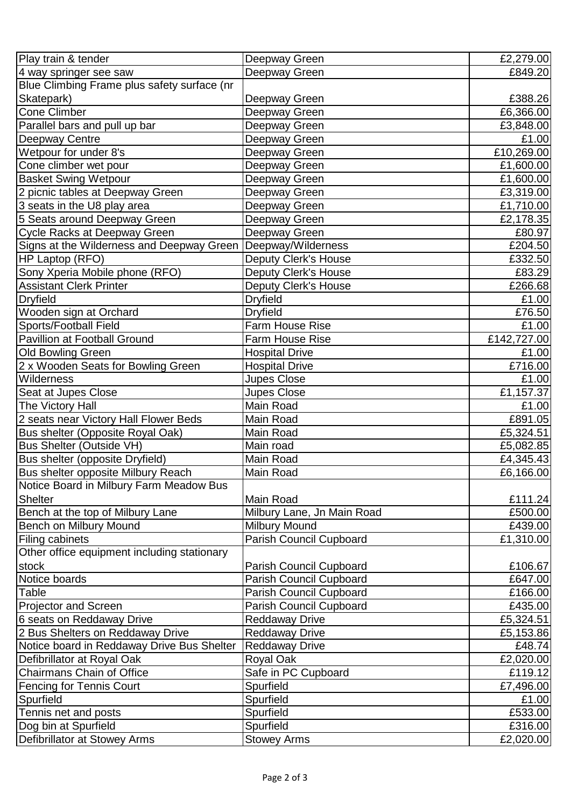| Play train & tender                         | Deepway Green                  | £2,279.00   |
|---------------------------------------------|--------------------------------|-------------|
| 4 way springer see saw                      | Deepway Green                  | £849.20     |
| Blue Climbing Frame plus safety surface (nr |                                |             |
| Skatepark)                                  | Deepway Green                  | £388.26     |
| Cone Climber                                | Deepway Green                  | £6,366.00   |
| Parallel bars and pull up bar               | Deepway Green                  | £3,848.00   |
| <b>Deepway Centre</b>                       | Deepway Green                  | £1.00       |
| Wetpour for under 8's                       | Deepway Green                  | £10,269.00  |
| Cone climber wet pour                       | Deepway Green                  | £1,600.00   |
| <b>Basket Swing Wetpour</b>                 | Deepway Green                  | £1,600.00   |
| 2 picnic tables at Deepway Green            | Deepway Green                  | £3,319.00   |
| 3 seats in the U8 play area                 | Deepway Green                  | £1,710.00   |
| 5 Seats around Deepway Green                | Deepway Green                  | £2,178.35   |
| Cycle Racks at Deepway Green                | Deepway Green                  | £80.97      |
| Signs at the Wilderness and Deepway Green   | Deepway/Wilderness             | £204.50     |
| HP Laptop (RFO)                             | <b>Deputy Clerk's House</b>    | £332.50     |
| Sony Xperia Mobile phone (RFO)              | <b>Deputy Clerk's House</b>    | £83.29      |
| <b>Assistant Clerk Printer</b>              | <b>Deputy Clerk's House</b>    | £266.68     |
| <b>Dryfield</b>                             | <b>Dryfield</b>                | £1.00       |
| Wooden sign at Orchard                      | <b>Dryfield</b>                | £76.50      |
| Sports/Football Field                       | <b>Farm House Rise</b>         | £1.00       |
| Pavillion at Football Ground                | <b>Farm House Rise</b>         | £142,727.00 |
| Old Bowling Green                           | <b>Hospital Drive</b>          | £1.00       |
| 2 x Wooden Seats for Bowling Green          | <b>Hospital Drive</b>          | £716.00     |
| Wilderness                                  | <b>Jupes Close</b>             | £1.00       |
| Seat at Jupes Close                         | <b>Jupes Close</b>             | £1,157.37   |
| The Victory Hall                            | Main Road                      | £1.00       |
| 2 seats near Victory Hall Flower Beds       | Main Road                      | £891.05     |
| Bus shelter (Opposite Royal Oak)            | Main Road                      | £5,324.51   |
| <b>Bus Shelter (Outside VH)</b>             | Main road                      | £5,082.85   |
| Bus shelter (opposite Dryfield)             | Main Road                      | £4,345.43   |
| Bus shelter opposite Milbury Reach          | Main Road                      | £6,166.00   |
| Notice Board in Milbury Farm Meadow Bus     |                                |             |
| <b>Shelter</b>                              | Main Road                      | £111.24     |
| Bench at the top of Milbury Lane            | Milbury Lane, Jn Main Road     | £500.00     |
| Bench on Milbury Mound                      | Milbury Mound                  | £439.00     |
| <b>Filing cabinets</b>                      | <b>Parish Council Cupboard</b> | £1,310.00   |
| Other office equipment including stationary |                                |             |
| stock                                       | Parish Council Cupboard        | £106.67     |
| Notice boards                               | <b>Parish Council Cupboard</b> | £647.00     |
| Table                                       | Parish Council Cupboard        | £166.00     |
| Projector and Screen                        | Parish Council Cupboard        | £435.00     |
| 6 seats on Reddaway Drive                   | <b>Reddaway Drive</b>          | £5,324.51   |
| 2 Bus Shelters on Reddaway Drive            | <b>Reddaway Drive</b>          | £5,153.86   |
| Notice board in Reddaway Drive Bus Shelter  | <b>Reddaway Drive</b>          | £48.74      |
| Defibrillator at Royal Oak                  | Royal Oak                      | £2,020.00   |
| <b>Chairmans Chain of Office</b>            | Safe in PC Cupboard            | £119.12     |
| <b>Fencing for Tennis Court</b>             | Spurfield                      | £7,496.00   |
| Spurfield                                   | Spurfield                      | £1.00       |
| Tennis net and posts                        | Spurfield                      | £533.00     |
| Dog bin at Spurfield                        | Spurfield                      | £316.00     |
| Defibrillator at Stowey Arms                | <b>Stowey Arms</b>             | £2,020.00   |